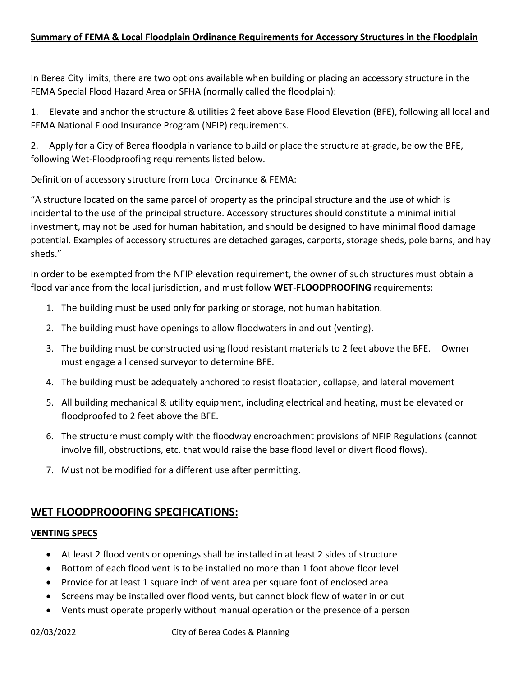# **Summary of FEMA & Local Floodplain Ordinance Requirements for Accessory Structures in the Floodplain**

In Berea City limits, there are two options available when building or placing an accessory structure in the FEMA Special Flood Hazard Area or SFHA (normally called the floodplain):

1. Elevate and anchor the structure & utilities 2 feet above Base Flood Elevation (BFE), following all local and FEMA National Flood Insurance Program (NFIP) requirements.

2. Apply for a City of Berea floodplain variance to build or place the structure at-grade, below the BFE, following Wet-Floodproofing requirements listed below.

Definition of accessory structure from Local Ordinance & FEMA:

"A structure located on the same parcel of property as the principal structure and the use of which is incidental to the use of the principal structure. Accessory structures should constitute a minimal initial investment, may not be used for human habitation, and should be designed to have minimal flood damage potential. Examples of accessory structures are detached garages, carports, storage sheds, pole barns, and hay sheds."

In order to be exempted from the NFIP elevation requirement, the owner of such structures must obtain a flood variance from the local jurisdiction, and must follow **WET-FLOODPROOFING** requirements:

- 1. The building must be used only for parking or storage, not human habitation.
- 2. The building must have openings to allow floodwaters in and out (venting).
- 3. The building must be constructed using flood resistant materials to 2 feet above the BFE. Owner must engage a licensed surveyor to determine BFE.
- 4. The building must be adequately anchored to resist floatation, collapse, and lateral movement
- 5. All building mechanical & utility equipment, including electrical and heating, must be elevated or floodproofed to 2 feet above the BFE.
- 6. The structure must comply with the floodway encroachment provisions of NFIP Regulations (cannot involve fill, obstructions, etc. that would raise the base flood level or divert flood flows).
- 7. Must not be modified for a different use after permitting.

# **WET FLOODPROOOFING SPECIFICATIONS:**

## **VENTING SPECS**

- At least 2 flood vents or openings shall be installed in at least 2 sides of structure
- Bottom of each flood vent is to be installed no more than 1 foot above floor level
- Provide for at least 1 square inch of vent area per square foot of enclosed area
- Screens may be installed over flood vents, but cannot block flow of water in or out
- Vents must operate properly without manual operation or the presence of a person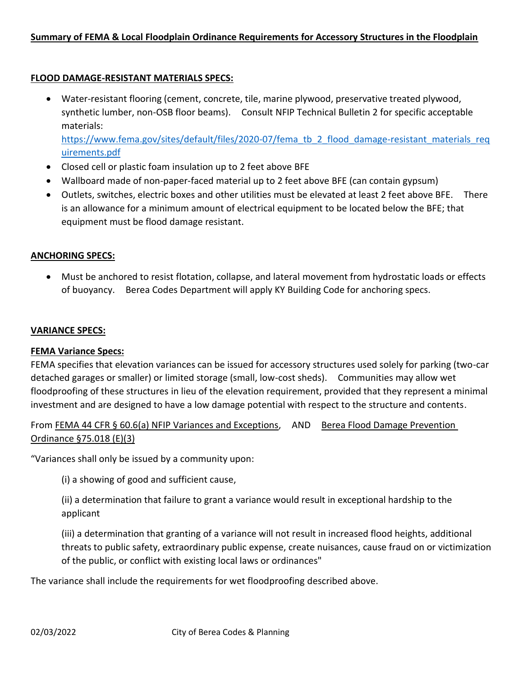## **Summary of FEMA & Local Floodplain Ordinance Requirements for Accessory Structures in the Floodplain**

## **FLOOD DAMAGE-RESISTANT MATERIALS SPECS:**

• Water-resistant flooring (cement, concrete, tile, marine plywood, preservative treated plywood, synthetic lumber, non-OSB floor beams). Consult NFIP Technical Bulletin 2 for specific acceptable materials:

[https://www.fema.gov/sites/default/files/2020-07/fema\\_tb\\_2\\_flood\\_damage-resistant\\_materials\\_req](https://www.fema.gov/sites/default/files/2020-07/fema_tb_2_flood_damage-resistant_materials_requirements.pdf) [uirements.pdf](https://www.fema.gov/sites/default/files/2020-07/fema_tb_2_flood_damage-resistant_materials_requirements.pdf)

- Closed cell or plastic foam insulation up to 2 feet above BFE
- Wallboard made of non-paper-faced material up to 2 feet above BFE (can contain gypsum)
- Outlets, switches, electric boxes and other utilities must be elevated at least 2 feet above BFE. There is an allowance for a minimum amount of electrical equipment to be located below the BFE; that equipment must be flood damage resistant.

## **ANCHORING SPECS:**

• Must be anchored to resist flotation, collapse, and lateral movement from hydrostatic loads or effects of buoyancy. Berea Codes Department will apply KY Building Code for anchoring specs.

## **VARIANCE SPECS:**

## **FEMA Variance Specs:**

FEMA specifies that elevation variances can be issued for accessory structures used solely for parking (two-car detached garages or smaller) or limited storage (small, low-cost sheds). Communities may allow wet floodproofing of these structures in lieu of the elevation requirement, provided that they represent a minimal investment and are designed to have a low damage potential with respect to the structure and contents.

From FEMA 44 CFR § 60.6(a) NFIP Variances and Exceptions, AND Berea Flood Damage Prevention Ordinance §75.018 (E)(3)

"Variances shall only be issued by a community upon:

(i) a showing of good and sufficient cause,

(ii) a determination that failure to grant a variance would result in exceptional hardship to the applicant

(iii) a determination that granting of a variance will not result in increased flood heights, additional threats to public safety, extraordinary public expense, create nuisances, cause fraud on or victimization of the public, or conflict with existing local laws or ordinances"

The variance shall include the requirements for wet floodproofing described above.